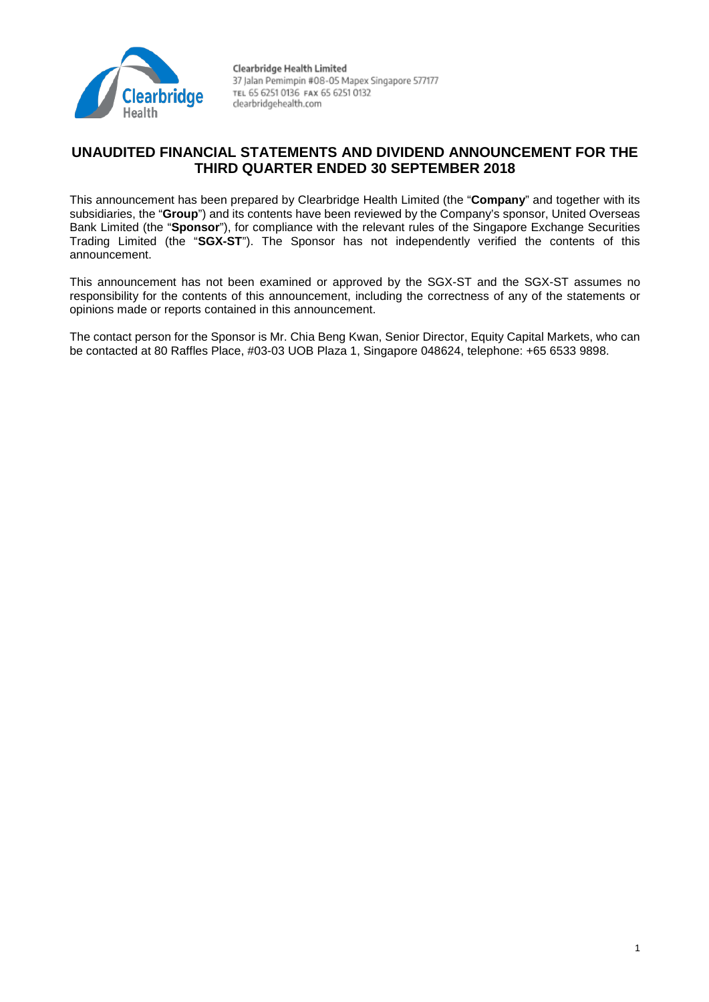

# **UNAUDITED FINANCIAL STATEMENTS AND DIVIDEND ANNOUNCEMENT FOR THE THIRD QUARTER ENDED 30 SEPTEMBER 2018**

This announcement has been prepared by Clearbridge Health Limited (the "**Company**" and together with its subsidiaries, the "**Group**") and its contents have been reviewed by the Company's sponsor, United Overseas Bank Limited (the "**Sponsor**"), for compliance with the relevant rules of the Singapore Exchange Securities Trading Limited (the "**SGX-ST**"). The Sponsor has not independently verified the contents of this announcement.

This announcement has not been examined or approved by the SGX-ST and the SGX-ST assumes no responsibility for the contents of this announcement, including the correctness of any of the statements or opinions made or reports contained in this announcement.

The contact person for the Sponsor is Mr. Chia Beng Kwan, Senior Director, Equity Capital Markets, who can be contacted at 80 Raffles Place, #03-03 UOB Plaza 1, Singapore 048624, telephone: +65 6533 9898.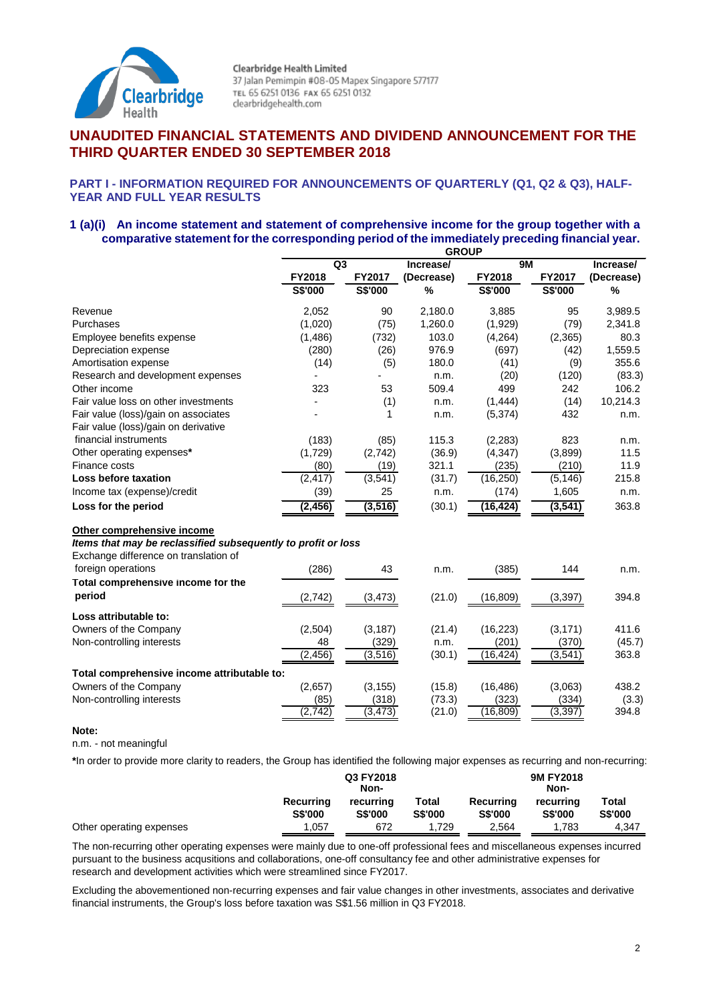

# **UNAUDITED FINANCIAL STATEMENTS AND DIVIDEND ANNOUNCEMENT FOR THE THIRD QUARTER ENDED 30 SEPTEMBER 2018**

#### **PART I - INFORMATION REQUIRED FOR ANNOUNCEMENTS OF QUARTERLY (Q1, Q2 & Q3), HALF-YEAR AND FULL YEAR RESULTS**

#### **1 (a)(i) An income statement and statement of comprehensive income for the group together with a comparative statement for the corresponding period of the immediately preceding financial year. GROUP**

|                                                                              | סמטע           |                 |            |           |               |            |  |
|------------------------------------------------------------------------------|----------------|-----------------|------------|-----------|---------------|------------|--|
|                                                                              |                | Q3<br>Increase/ |            | <b>9M</b> | Increase/     |            |  |
|                                                                              | <b>FY2018</b>  | <b>FY2017</b>   | (Decrease) | FY2018    | <b>FY2017</b> | (Decrease) |  |
|                                                                              | <b>S\$'000</b> | <b>S\$'000</b>  | $\%$       | S\$'000   | S\$'000       | %          |  |
| Revenue                                                                      | 2.052          | 90              | 2,180.0    | 3,885     | 95            | 3,989.5    |  |
| Purchases                                                                    | (1,020)        | (75)            | 1,260.0    | (1,929)   | (79)          | 2,341.8    |  |
| Employee benefits expense                                                    | (1,486)        | (732)           | 103.0      | (4,264)   | (2,365)       | 80.3       |  |
| Depreciation expense                                                         | (280)          | (26)            | 976.9      | (697)     | (42)          | 1,559.5    |  |
| Amortisation expense                                                         | (14)           | (5)             | 180.0      | (41)      | (9)           | 355.6      |  |
| Research and development expenses                                            |                |                 | n.m.       | (20)      | (120)         | (83.3)     |  |
| Other income                                                                 | 323            | 53              | 509.4      | 499       | 242           | 106.2      |  |
| Fair value loss on other investments                                         |                | (1)             | n.m.       | (1, 444)  | (14)          | 10,214.3   |  |
| Fair value (loss)/gain on associates<br>Fair value (loss)/gain on derivative |                | 1               | n.m.       | (5, 374)  | 432           | n.m.       |  |
| financial instruments                                                        | (183)          | (85)            | 115.3      | (2, 283)  | 823           | n.m.       |  |
| Other operating expenses*                                                    | (1,729)        | (2,742)         | (36.9)     | (4, 347)  | (3,899)       | 11.5       |  |
| Finance costs                                                                | (80)           | (19)            | 321.1      | (235)     | (210)         | 11.9       |  |
| Loss before taxation                                                         | (2, 417)       | (3, 541)        | (31.7)     | (16, 250) | (5, 146)      | 215.8      |  |
| Income tax (expense)/credit                                                  | (39)           | 25              | n.m.       | (174)     | 1,605         | n.m.       |  |
| Loss for the period                                                          | (2, 456)       | (3, 516)        | (30.1)     | (16, 424) | (3, 541)      | 363.8      |  |
| Other comprehensive income                                                   |                |                 |            |           |               |            |  |
| Items that may be reclassified subsequently to profit or loss                |                |                 |            |           |               |            |  |
| Exchange difference on translation of                                        |                |                 |            |           |               |            |  |
| foreign operations                                                           | (286)          | 43              | n.m.       | (385)     | 144           | n.m.       |  |
| Total comprehensive income for the                                           |                |                 |            |           |               |            |  |
| period                                                                       | (2,742)        | (3, 473)        | (21.0)     | (16, 809) | (3, 397)      | 394.8      |  |
| Loss attributable to:                                                        |                |                 |            |           |               |            |  |
| Owners of the Company                                                        | (2.504)        | (3, 187)        | (21.4)     | (16, 223) | (3, 171)      | 411.6      |  |
| Non-controlling interests                                                    | 48             | (329)           | n.m.       | (201)     | (370)         | (45.7)     |  |
|                                                                              | (2, 456)       | (3, 516)        | (30.1)     | (16, 424) | (3, 541)      | 363.8      |  |
| Total comprehensive income attributable to:                                  |                |                 |            |           |               |            |  |
| Owners of the Company                                                        | (2,657)        | (3, 155)        | (15.8)     | (16, 486) | (3,063)       | 438.2      |  |
| Non-controlling interests                                                    | (85)           | (318)           | (73.3)     | (323)     | (334)         | (3.3)      |  |
|                                                                              | (2,742)        | (3, 473)        | (21.0)     | (16, 809) | (3, 397)      | 394.8      |  |
|                                                                              |                |                 |            |           |               |            |  |

#### **Note:**

n.m. - not meaningful

**\***In order to provide more clarity to readers, the Group has identified the following major expenses as recurring and non-recurring:

|                          |                             | Q3 FY2018<br>Non-           |                         |                             | <b>9M FY2018</b><br>Non-    |                         |  |
|--------------------------|-----------------------------|-----------------------------|-------------------------|-----------------------------|-----------------------------|-------------------------|--|
|                          | Recurring<br><b>S\$'000</b> | recurrina<br><b>S\$'000</b> | Total<br><b>S\$'000</b> | Recurring<br><b>S\$'000</b> | recurrina<br><b>S\$'000</b> | Total<br><b>S\$'000</b> |  |
| Other operating expenses | 1.057                       | 672                         | .729.                   | 2.564                       | 1.783                       | 4.347                   |  |

The non-recurring other operating expenses were mainly due to one-off professional fees and miscellaneous expenses incurred pursuant to the business acqusitions and collaborations, one-off consultancy fee and other administrative expenses for research and development activities which were streamlined since FY2017.

Excluding the abovementioned non-recurring expenses and fair value changes in other investments, associates and derivative financial instruments, the Group's loss before taxation was S\$1.56 million in Q3 FY2018.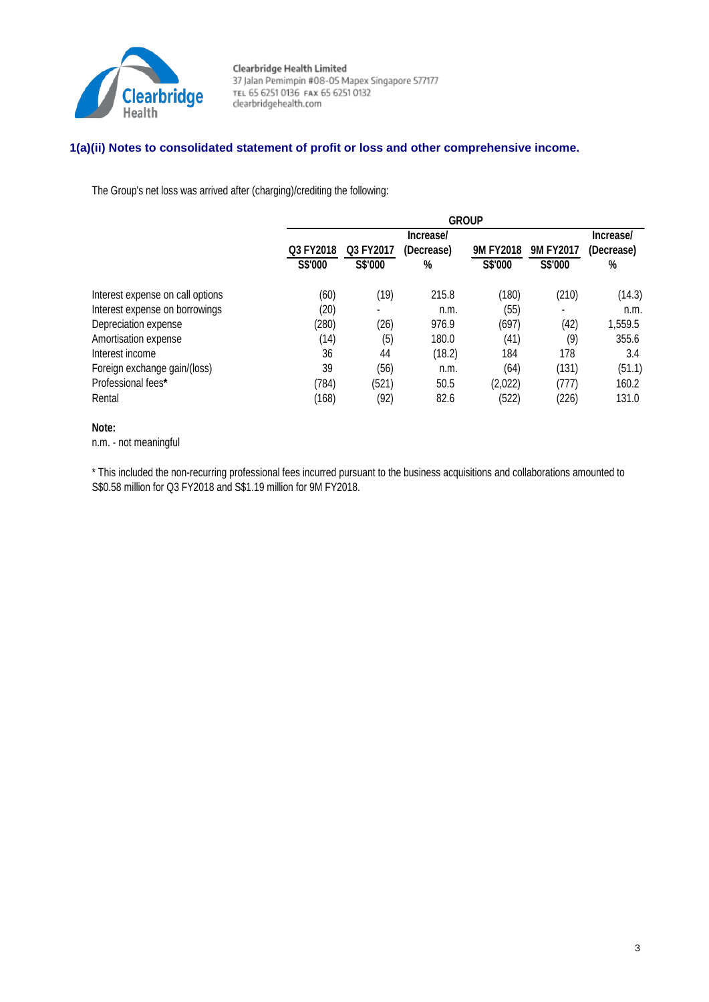

# **1(a)(ii) Notes to consolidated statement of profit or loss and other comprehensive income.**

The Group's net loss was arrived after (charging)/crediting the following:

|                                  | <b>GROUP</b> |           |            |                  |                  |            |  |
|----------------------------------|--------------|-----------|------------|------------------|------------------|------------|--|
|                                  |              |           | Increase/  |                  |                  | Increase/  |  |
|                                  | Q3 FY2018    | Q3 FY2017 | (Decrease) | <b>9M FY2018</b> | <b>9M FY2017</b> | (Decrease) |  |
|                                  | S\$'000      | S\$'000   | %          | S\$'000          | S\$'000          | %          |  |
| Interest expense on call options | (60)         | (19)      | 215.8      | (180)            | (210)            | (14.3)     |  |
| Interest expense on borrowings   | (20)         | ۰         | n.m.       | (55)             | ۰                | n.m.       |  |
| Depreciation expense             | (280)        | (26)      | 976.9      | (697)            | (42)             | 1,559.5    |  |
| Amortisation expense             | (14)         | (5)       | 180.0      | (41)             | (9)              | 355.6      |  |
| Interest income                  | 36           | 44        | (18.2)     | 184              | 178              | 3.4        |  |
| Foreign exchange gain/(loss)     | 39           | (56)      | n.m.       | (64)             | (131)            | (51.1)     |  |
| Professional fees*               | (784)        | (521)     | 50.5       | (2,022)          | (777)            | 160.2      |  |
| Rental                           | (168)        | (92)      | 82.6       | (522)            | (226)            | 131.0      |  |

## **Note:**

n.m. - not meaningful

\* This included the non-recurring professional fees incurred pursuant to the business acquisitions and collaborations amounted to S\$0.58 million for Q3 FY2018 and S\$1.19 million for 9M FY2018.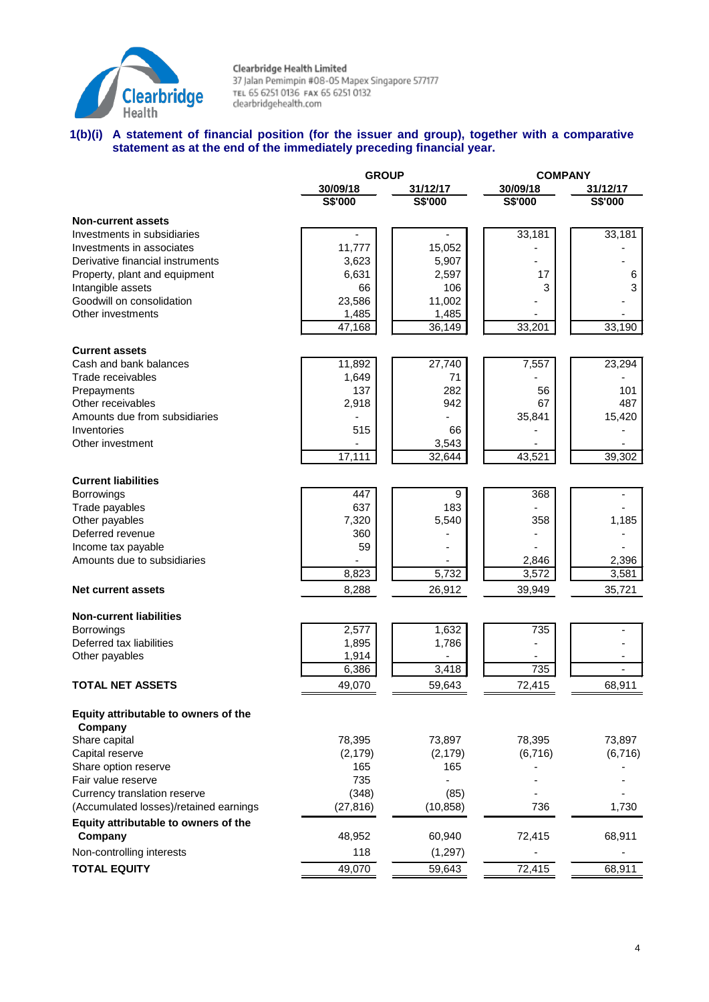

# **1(b)(i) A statement of financial position (for the issuer and group), together with a comparative statement as at the end of the immediately preceding financial year.**

|                                        |           | <b>GROUP</b> |          | <b>COMPANY</b> |
|----------------------------------------|-----------|--------------|----------|----------------|
|                                        | 30/09/18  | 31/12/17     | 30/09/18 | 31/12/17       |
|                                        | S\$'000   | S\$'000      | S\$'000  | S\$'000        |
| <b>Non-current assets</b>              |           |              |          |                |
| Investments in subsidiaries            |           |              | 33,181   | 33,181         |
| Investments in associates              | 11,777    | 15,052       |          |                |
| Derivative financial instruments       | 3,623     | 5,907        |          |                |
| Property, plant and equipment          | 6,631     | 2,597        | 17       | 6              |
| Intangible assets                      | 66        | 106          | 3        | 3              |
| Goodwill on consolidation              | 23,586    | 11,002       |          |                |
| Other investments                      | 1,485     | 1,485        |          |                |
|                                        | 47,168    | 36,149       | 33,201   | 33,190         |
|                                        |           |              |          |                |
| <b>Current assets</b>                  |           |              |          |                |
| Cash and bank balances                 | 11,892    | 27,740       | 7,557    | 23,294         |
| Trade receivables                      | 1,649     | 71           |          |                |
| Prepayments                            | 137       | 282          | 56       | 101            |
| Other receivables                      | 2,918     | 942          | 67       | 487            |
| Amounts due from subsidiaries          |           |              | 35,841   | 15,420         |
| Inventories                            | 515       | 66           |          |                |
| Other investment                       |           | 3,543        |          |                |
|                                        | 17,111    | 32,644       | 43,521   | 39,302         |
| <b>Current liabilities</b>             |           |              |          |                |
| <b>Borrowings</b>                      | 447       | 9            | 368      |                |
| Trade payables                         | 637       | 183          |          |                |
| Other payables                         | 7,320     | 5,540        | 358      | 1,185          |
| Deferred revenue                       | 360       |              |          |                |
| Income tax payable                     | 59        |              |          |                |
| Amounts due to subsidiaries            |           |              | 2,846    | 2,396          |
|                                        | 8,823     | 5,732        | 3,572    | 3,581          |
| <b>Net current assets</b>              | 8,288     | 26,912       | 39,949   | 35,721         |
|                                        |           |              |          |                |
| <b>Non-current liabilities</b>         |           |              |          |                |
| <b>Borrowings</b>                      | 2,577     | 1,632        | 735      |                |
| Deferred tax liabilities               | 1,895     | 1,786        |          |                |
| Other payables                         | 1,914     |              |          |                |
|                                        | 6,386     | 3,418        | 735      |                |
| <b>TOTAL NET ASSETS</b>                | 49,070    | 59,643       | 72,415   | 68,911         |
| Equity attributable to owners of the   |           |              |          |                |
| Company                                |           |              |          |                |
| Share capital                          | 78,395    | 73,897       | 78,395   | 73,897         |
| Capital reserve                        | (2, 179)  | (2, 179)     | (6, 716) | (6,716)        |
| Share option reserve                   | 165       | 165          |          |                |
| Fair value reserve                     | 735       |              |          |                |
| Currency translation reserve           | (348)     | (85)         |          |                |
| (Accumulated losses)/retained earnings | (27, 816) | (10, 858)    | 736      | 1,730          |
| Equity attributable to owners of the   |           |              |          |                |
| Company                                | 48,952    | 60,940       | 72,415   | 68,911         |
| Non-controlling interests              | 118       | (1, 297)     |          |                |
| <b>TOTAL EQUITY</b>                    | 49,070    | 59,643       | 72,415   | 68,911         |
|                                        |           |              |          |                |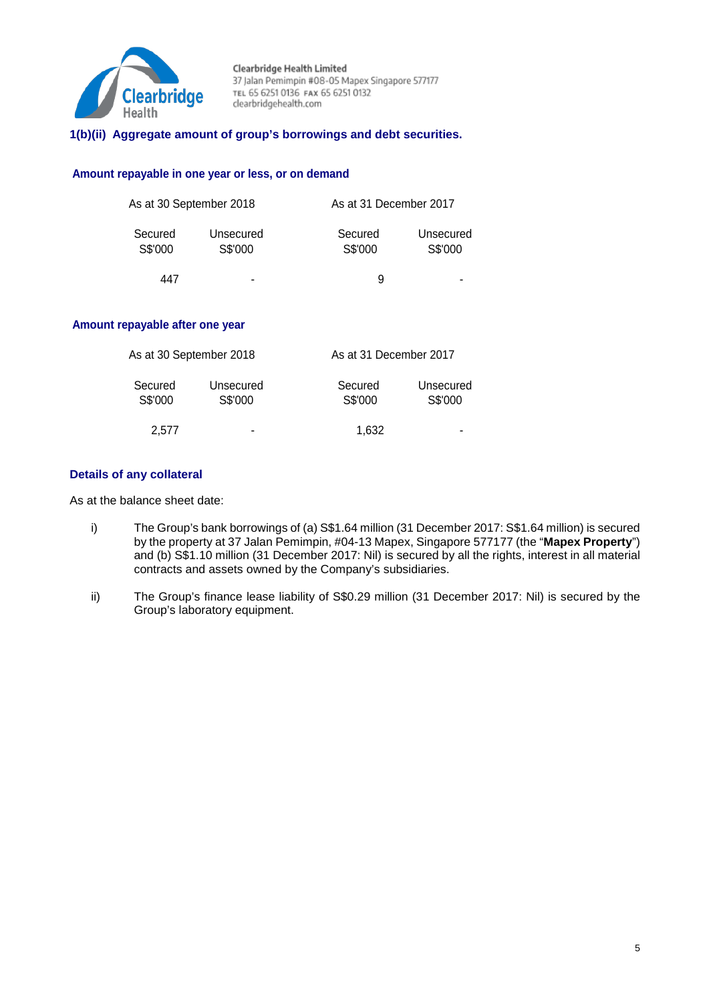

# **1(b)(ii) Aggregate amount of group's borrowings and debt securities.**

#### **Amount repayable in one year or less, or on demand**

| As at 30 September 2018 |                      | As at 31 December 2017 |                      |  |  |
|-------------------------|----------------------|------------------------|----------------------|--|--|
| Secured<br>S\$'000      | Unsecured<br>S\$'000 | Secured<br>S\$'000     | Unsecured<br>S\$'000 |  |  |
| 447                     | -                    | 9                      |                      |  |  |

#### **Amount repayable after one year**

|                    | As at 30 September 2018 | As at 31 December 2017 |                      |  |  |
|--------------------|-------------------------|------------------------|----------------------|--|--|
| Secured<br>S\$'000 | Unsecured<br>S\$'000    | Secured<br>S\$'000     | Unsecured<br>S\$'000 |  |  |
| 2.577              | -                       | 1.632                  | -                    |  |  |

#### **Details of any collateral**

As at the balance sheet date:

- i) The Group's bank borrowings of (a) S\$1.64 million (31 December 2017: S\$1.64 million) is secured by the property at 37 Jalan Pemimpin, #04-13 Mapex, Singapore 577177 (the "**Mapex Property**") and (b) S\$1.10 million (31 December 2017: Nil) is secured by all the rights, interest in all material contracts and assets owned by the Company's subsidiaries.
- ii) The Group's finance lease liability of S\$0.29 million (31 December 2017: Nil) is secured by the Group's laboratory equipment.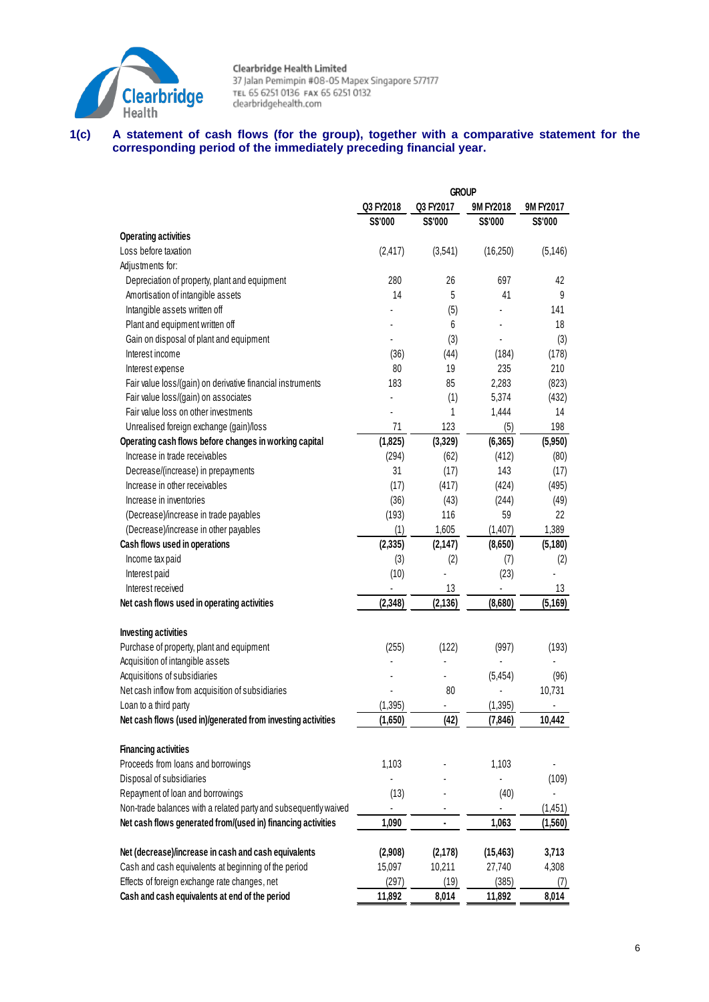

#### **1(c) A statement of cash flows (for the group), together with a comparative statement for the corresponding period of the immediately preceding financial year.**

|                                                                 | <b>GROUP</b> |              |           |           |
|-----------------------------------------------------------------|--------------|--------------|-----------|-----------|
|                                                                 | Q3 FY2018    | Q3 FY2017    | 9M FY2018 | 9M FY2017 |
|                                                                 | S\$'000      | S\$'000      | S\$'000   | S\$'000   |
| <b>Operating activities</b>                                     |              |              |           |           |
| Loss before taxation                                            | (2, 417)     | (3,541)      | (16, 250) | (5, 146)  |
| Adjustments for:                                                |              |              |           |           |
| Depreciation of property, plant and equipment                   | 280          | 26           | 697       | 42        |
| Amortisation of intangible assets                               | 14           | 5            | 41        | 9         |
| Intangible assets written off                                   |              | (5)          |           | 141       |
| Plant and equipment written off                                 |              | 6            |           | 18        |
| Gain on disposal of plant and equipment                         |              | (3)          |           | (3)       |
| Interest income                                                 | (36)         | (44)         | (184)     | (178)     |
| Interest expense                                                | 80           | 19           | 235       | 210       |
| Fair value loss/(gain) on derivative financial instruments      | 183          | 85           | 2,283     | (823)     |
| Fair value loss/(gain) on associates                            |              | (1)          | 5,374     | (432)     |
| Fair value loss on other investments                            |              | $\mathbf{1}$ | 1,444     | 14        |
| Unrealised foreign exchange (gain)/loss                         | 71           | 123          | (5)       | 198       |
| Operating cash flows before changes in working capital          | (1,825)      | (3, 329)     | (6, 365)  | (5,950)   |
| Increase in trade receivables                                   | (294)        | (62)         | (412)     | (80)      |
| Decrease/(increase) in prepayments                              | 31           | (17)         | 143       | (17)      |
| Increase in other receivables                                   | (17)         | (417)        | (424)     | (495)     |
| Increase in inventories                                         | (36)         | (43)         | (244)     | (49)      |
| (Decrease)/increase in trade payables                           | (193)        | 116          | 59        | 22        |
| (Decrease)/increase in other payables                           | (1)          | 1,605        | (1, 407)  | 1,389     |
| Cash flows used in operations                                   | (2, 335)     | (2, 147)     | (8,650)   | (5, 180)  |
| Income tax paid                                                 | (3)          | (2)          | (7)       | (2)       |
| Interest paid                                                   | (10)         |              | (23)      |           |
| Interest received                                               |              | 13           |           | 13        |
| Net cash flows used in operating activities                     | (2, 348)     | (2, 136)     | (8,680)   | (5, 169)  |
| <b>Investing activities</b>                                     |              |              |           |           |
| Purchase of property, plant and equipment                       | (255)        | (122)        | (997)     | (193)     |
| Acquisition of intangible assets                                |              |              |           |           |
| Acquisitions of subsidiaries                                    |              |              | (5, 454)  | (96)      |
| Net cash inflow from acquisition of subsidiaries                |              | 80           |           | 10,731    |
| Loan to a third party                                           | (1, 395)     |              | (1, 395)  |           |
| Net cash flows (used in)/generated from investing activities    | (1,650)      | <u>(42)</u>  | (7,846)   | 10,442    |
| <b>Financing activities</b>                                     |              |              |           |           |
| Proceeds from loans and borrowings                              | 1,103        |              | 1,103     |           |
| Disposal of subsidiaries                                        |              |              |           | (109)     |
| Repayment of loan and borrowings                                | (13)         |              | (40)      |           |
| Non-trade balances with a related party and subsequently waived |              |              |           | (1,451)   |
| Net cash flows generated from/(used in) financing activities    | 1,090        | ä,           | 1,063     | (1, 560)  |
| Net (decrease)/increase in cash and cash equivalents            | (2,908)      | (2, 178)     | (15, 463) | 3,713     |
| Cash and cash equivalents at beginning of the period            | 15,097       | 10,211       | 27,740    | 4,308     |
| Effects of foreign exchange rate changes, net                   | (297)        | (19)         | (385)     | (7)       |
| Cash and cash equivalents at end of the period                  | 11,892       | 8,014        | 11,892    | 8,014     |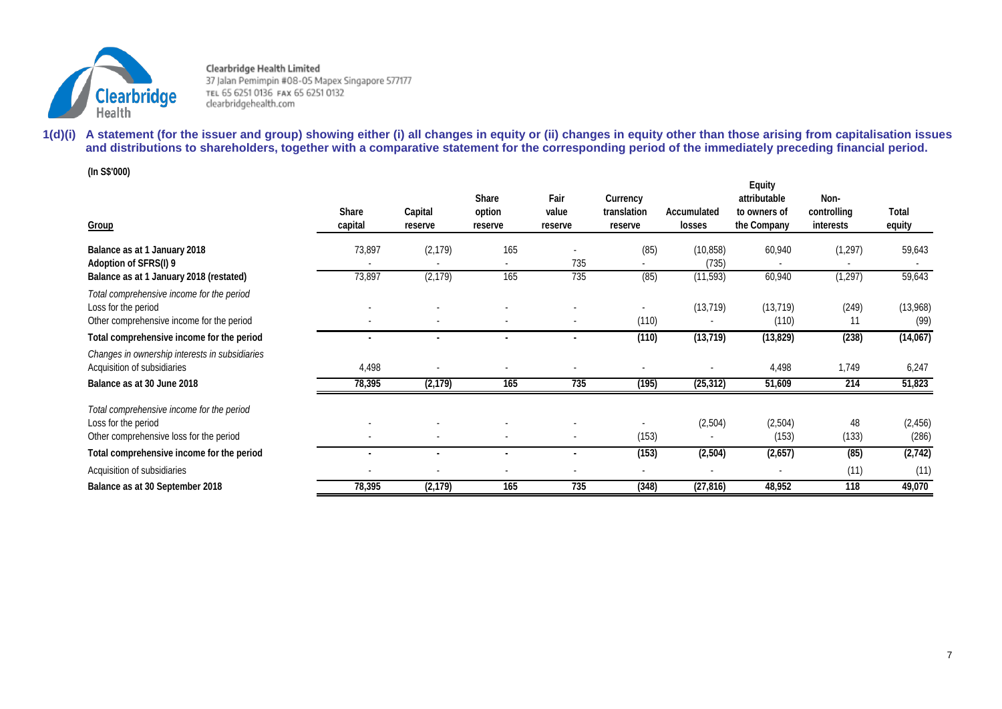

**1(d)(i) A statement (for the issuer and group) showing either (i) all changes in equity or (ii) changes in equity other than those arising from capitalisation issues and distributions to shareholders, together with a comparative statement for the corresponding period of the immediately preceding financial period.** 

**(In S\$'000)**

| Group                                                                                                         | <b>Share</b><br>capital | Capital<br>reserve | <b>Share</b><br>option<br>reserve | Fair<br>value<br>reserve | Currency<br>translation<br>reserve | Accumulated<br>losses | Equity<br>attributable<br>to owners of<br>the Company | Non-<br>controlling<br>interests | Total<br>equity   |
|---------------------------------------------------------------------------------------------------------------|-------------------------|--------------------|-----------------------------------|--------------------------|------------------------------------|-----------------------|-------------------------------------------------------|----------------------------------|-------------------|
| Balance as at 1 January 2018<br>Adoption of SFRS(I) 9                                                         | 73,897                  | (2, 179)           | 165<br>$\overline{\phantom{a}}$   | 735                      | (85)                               | (10, 858)<br>(735)    | 60,940                                                | (1, 297)                         | 59,643            |
| Balance as at 1 January 2018 (restated)                                                                       | 73,897                  | (2, 179)           | 165                               | 735                      | (85)                               | (11, 593)             | 60,940                                                | (1,297)                          | 59,643            |
| Total comprehensive income for the period<br>Loss for the period<br>Other comprehensive income for the period | ٠                       | $\blacksquare$     | $\sim$                            | $\overline{\phantom{a}}$ | ٠<br>(110)                         | (13, 719)             | (13, 719)<br>(110)                                    | (249)<br>11                      | (13,968)<br>(99)  |
| Total comprehensive income for the period                                                                     | ٠                       |                    | $\blacksquare$                    |                          | (110)                              | (13, 719)             | (13, 829)                                             | (238)                            | (14,067)          |
| Changes in ownership interests in subsidiaries<br>Acquisition of subsidiaries                                 | 4,498                   |                    |                                   |                          |                                    |                       | 4,498                                                 | 1,749                            | 6,247             |
| Balance as at 30 June 2018                                                                                    | 78,395                  | (2, 179)           | 165                               | 735                      | (195)                              | (25, 312)             | 51,609                                                | 214                              | 51,823            |
| Total comprehensive income for the period<br>Loss for the period<br>Other comprehensive loss for the period   |                         |                    |                                   |                          | (153)                              | (2,504)               | (2,504)<br>(153)                                      | 48<br>(133)                      | (2, 456)<br>(286) |
| Total comprehensive income for the period                                                                     | ۰                       |                    | $\blacksquare$                    |                          | (153)                              | (2, 504)              | (2,657)                                               | (85)                             | (2, 742)          |
| Acquisition of subsidiaries                                                                                   | ٠                       |                    |                                   |                          | ٠                                  | ٠                     |                                                       | (11)                             | (11)              |
| Balance as at 30 September 2018                                                                               | 78,395                  | (2, 179)           | 165                               | 735                      | (348)                              | (27, 816)             | 48,952                                                | 118                              | 49,070            |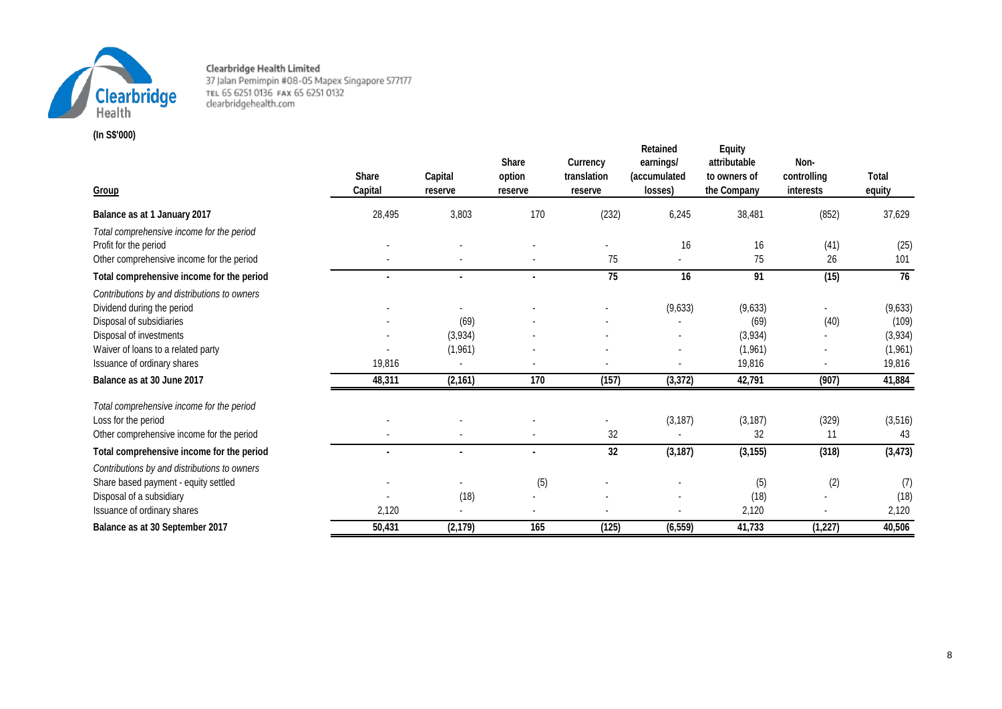

**(In S\$'000)**

| Group                                        | <b>Share</b><br>Capital | Capital<br>reserve | <b>Share</b><br>option<br>reserve | Currency<br>translation<br>reserve | Retained<br>earnings/<br><i>(accumulated)</i><br>losses) | <b>Equity</b><br>attributable<br>to owners of<br>the Company | Non-<br>controlling<br>interests | <b>Total</b><br>equity |
|----------------------------------------------|-------------------------|--------------------|-----------------------------------|------------------------------------|----------------------------------------------------------|--------------------------------------------------------------|----------------------------------|------------------------|
| Balance as at 1 January 2017                 | 28,495                  | 3,803              | 170                               | (232)                              | 6,245                                                    | 38,481                                                       | (852)                            | 37,629                 |
| Total comprehensive income for the period    |                         |                    |                                   |                                    |                                                          |                                                              |                                  |                        |
| Profit for the period                        |                         |                    |                                   |                                    | 16                                                       | 16                                                           | (41)                             | (25)                   |
| Other comprehensive income for the period    |                         |                    |                                   | 75                                 |                                                          | 75                                                           | 26                               | 101                    |
| Total comprehensive income for the period    |                         | $\blacksquare$     | $\blacksquare$                    | 75                                 | 16                                                       | 91                                                           | (15)                             | 76                     |
| Contributions by and distributions to owners |                         |                    |                                   |                                    |                                                          |                                                              |                                  |                        |
| Dividend during the period                   |                         |                    |                                   |                                    | (9,633)                                                  | (9,633)                                                      | ٠                                | (9,633)                |
| Disposal of subsidiaries                     |                         | (69)               |                                   |                                    |                                                          | (69)                                                         | (40)                             | (109)                  |
| Disposal of investments                      |                         | (3,934)            |                                   |                                    |                                                          | (3,934)                                                      |                                  | (3,934)                |
| Waiver of loans to a related party           |                         | (1,961)            |                                   |                                    |                                                          | (1,961)                                                      |                                  | (1,961)                |
| Issuance of ordinary shares                  | 19,816                  |                    |                                   |                                    |                                                          | 19,816                                                       |                                  | 19,816                 |
| Balance as at 30 June 2017                   | 48,311                  | (2, 161)           | 170                               | (157)                              | (3, 372)                                                 | 42,791                                                       | (907)                            | 41,884                 |
| Total comprehensive income for the period    |                         |                    |                                   |                                    |                                                          |                                                              |                                  |                        |
| Loss for the period                          |                         |                    |                                   |                                    | (3, 187)                                                 | (3, 187)                                                     | (329)                            | (3, 516)               |
| Other comprehensive income for the period    |                         |                    |                                   | 32                                 |                                                          | 32                                                           | 11                               | 43                     |
| Total comprehensive income for the period    |                         |                    | $\blacksquare$                    | 32                                 | (3, 187)                                                 | (3, 155)                                                     | (318)                            | (3, 473)               |
| Contributions by and distributions to owners |                         |                    |                                   |                                    |                                                          |                                                              |                                  |                        |
| Share based payment - equity settled         |                         |                    | (5)                               |                                    |                                                          | (5)                                                          | (2)                              | (7)                    |
| Disposal of a subsidiary                     |                         | (18)               |                                   |                                    |                                                          | (18)                                                         | $\blacksquare$                   | (18)                   |
| Issuance of ordinary shares                  | 2,120                   |                    |                                   |                                    |                                                          | 2,120                                                        |                                  | 2,120                  |
| Balance as at 30 September 2017              | 50,431                  | (2, 179)           | 165                               | (125)                              | (6, 559)                                                 | 41,733                                                       | (1, 227)                         | 40,506                 |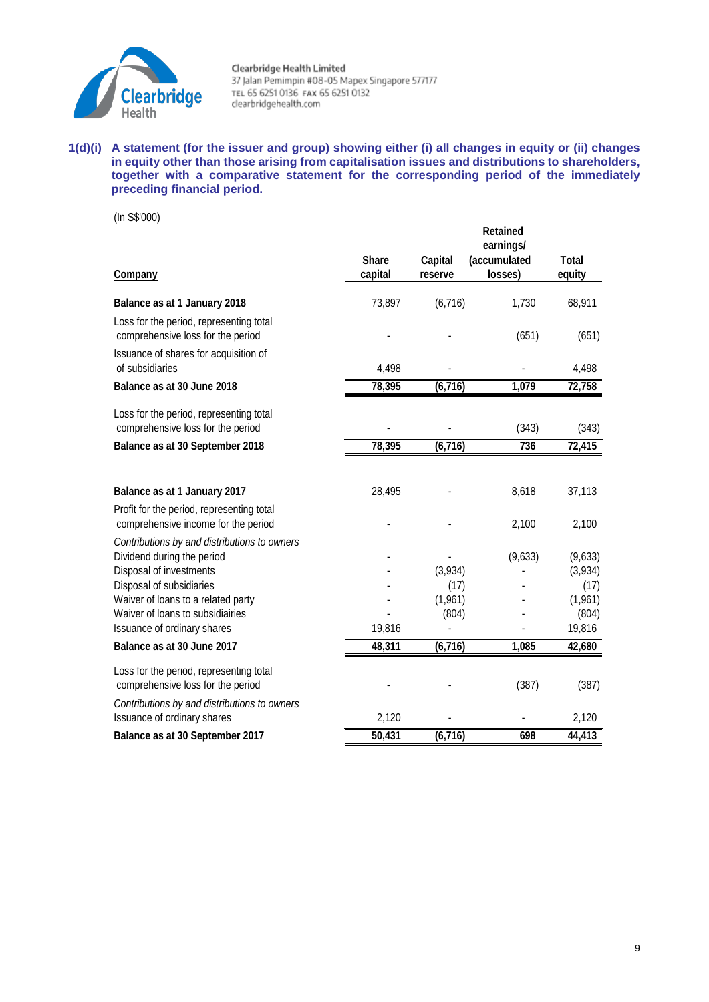

#### **1(d)(i) A statement (for the issuer and group) showing either (i) all changes in equity or (ii) changes in equity other than those arising from capitalisation issues and distributions to shareholders, together with a comparative statement for the corresponding period of the immediately preceding financial period.**

(In S\$'000)

|                                                                                  |              |                  | <b>Retained</b><br>earnings/ |                  |
|----------------------------------------------------------------------------------|--------------|------------------|------------------------------|------------------|
|                                                                                  | <b>Share</b> | <b>Capital</b>   | (accumulated                 | <b>Total</b>     |
| <b>Company</b>                                                                   | capital      | reserve          | losses)                      | equity           |
| Balance as at 1 January 2018                                                     | 73,897       | (6,716)          | 1,730                        | 68,911           |
| Loss for the period, representing total<br>comprehensive loss for the period     |              |                  | (651)                        | (651)            |
| Issuance of shares for acquisition of<br>of subsidiaries                         | 4,498        |                  |                              | 4,498            |
| Balance as at 30 June 2018                                                       | 78,395       | (6, 716)         | 1,079                        | 72,758           |
| Loss for the period, representing total<br>comprehensive loss for the period     |              |                  | (343)                        | (343)            |
| Balance as at 30 September 2018                                                  | 78,395       | (6, 716)         | 736                          | 72,415           |
|                                                                                  |              |                  |                              |                  |
| Balance as at 1 January 2017                                                     | 28,495       |                  | 8,618                        | 37,113           |
| Profit for the period, representing total<br>comprehensive income for the period |              |                  | 2,100                        | 2,100            |
| Contributions by and distributions to owners                                     |              |                  |                              |                  |
| Dividend during the period                                                       |              |                  | (9,633)                      | (9,633)          |
| Disposal of investments                                                          |              | (3,934)          |                              | (3,934)          |
| Disposal of subsidiaries                                                         |              | (17)             |                              | (17)             |
| Waiver of loans to a related party<br>Waiver of loans to subsidiairies           |              | (1,961)<br>(804) |                              | (1,961)<br>(804) |
| Issuance of ordinary shares                                                      | 19,816       | $\overline{a}$   |                              | 19,816           |
| Balance as at 30 June 2017                                                       | 48,311       | (6,716)          | 1,085                        | 42,680           |
| Loss for the period, representing total                                          |              |                  |                              |                  |
| comprehensive loss for the period                                                |              |                  | (387)                        | (387)            |
| Contributions by and distributions to owners                                     |              |                  |                              |                  |
| Issuance of ordinary shares                                                      | 2,120        |                  |                              | 2,120            |
| Balance as at 30 September 2017                                                  | 50,431       | (6, 716)         | 698                          | 44,413           |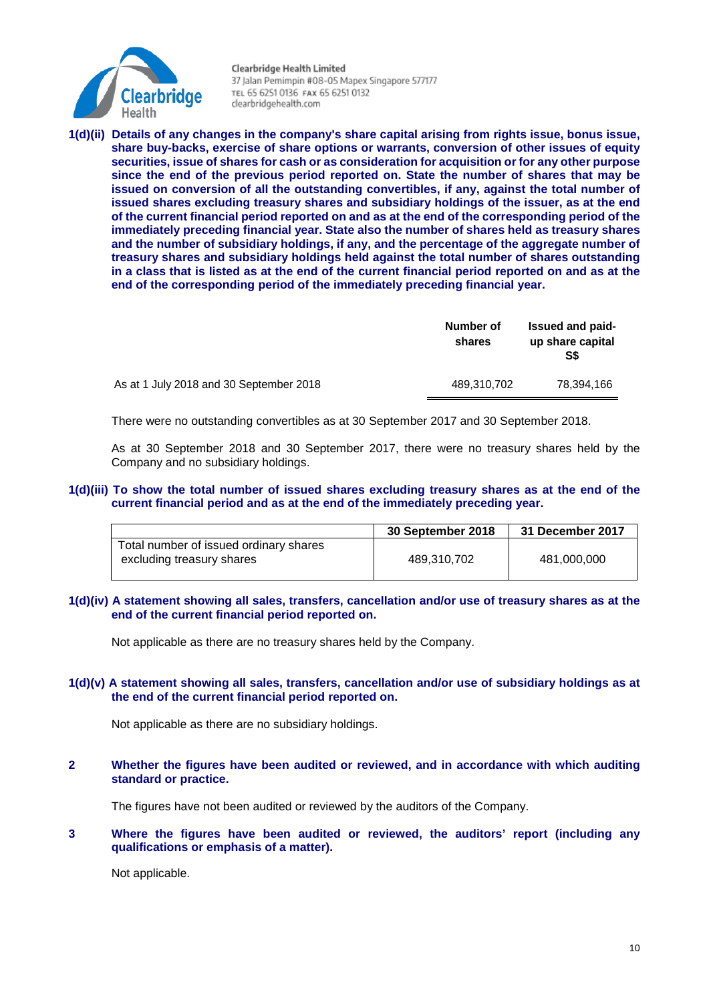

**1(d)(ii) Details of any changes in the company's share capital arising from rights issue, bonus issue, share buy-backs, exercise of share options or warrants, conversion of other issues of equity securities, issue of shares for cash or as consideration for acquisition or for any other purpose since the end of the previous period reported on. State the number of shares that may be issued on conversion of all the outstanding convertibles, if any, against the total number of issued shares excluding treasury shares and subsidiary holdings of the issuer, as at the end of the current financial period reported on and as at the end of the corresponding period of the immediately preceding financial year. State also the number of shares held as treasury shares and the number of subsidiary holdings, if any, and the percentage of the aggregate number of treasury shares and subsidiary holdings held against the total number of shares outstanding in a class that is listed as at the end of the current financial period reported on and as at the end of the corresponding period of the immediately preceding financial year.**

|                                         | Number of<br>shares | Issued and paid-<br>up share capital<br>S\$ |
|-----------------------------------------|---------------------|---------------------------------------------|
| As at 1 July 2018 and 30 September 2018 | 489.310.702         | 78.394.166                                  |

There were no outstanding convertibles as at 30 September 2017 and 30 September 2018.

As at 30 September 2018 and 30 September 2017, there were no treasury shares held by the Company and no subsidiary holdings.

**1(d)(iii) To show the total number of issued shares excluding treasury shares as at the end of the current financial period and as at the end of the immediately preceding year.** 

|                                                                     | 30 September 2018 | 31 December 2017 |
|---------------------------------------------------------------------|-------------------|------------------|
| Total number of issued ordinary shares<br>excluding treasury shares | 489.310.702       | 481.000.000      |

**1(d)(iv) A statement showing all sales, transfers, cancellation and/or use of treasury shares as at the end of the current financial period reported on.** 

Not applicable as there are no treasury shares held by the Company.

#### **1(d)(v) A statement showing all sales, transfers, cancellation and/or use of subsidiary holdings as at the end of the current financial period reported on.**

Not applicable as there are no subsidiary holdings.

**2 Whether the figures have been audited or reviewed, and in accordance with which auditing standard or practice.**

The figures have not been audited or reviewed by the auditors of the Company.

**3 Where the figures have been audited or reviewed, the auditors' report (including any qualifications or emphasis of a matter).**

Not applicable.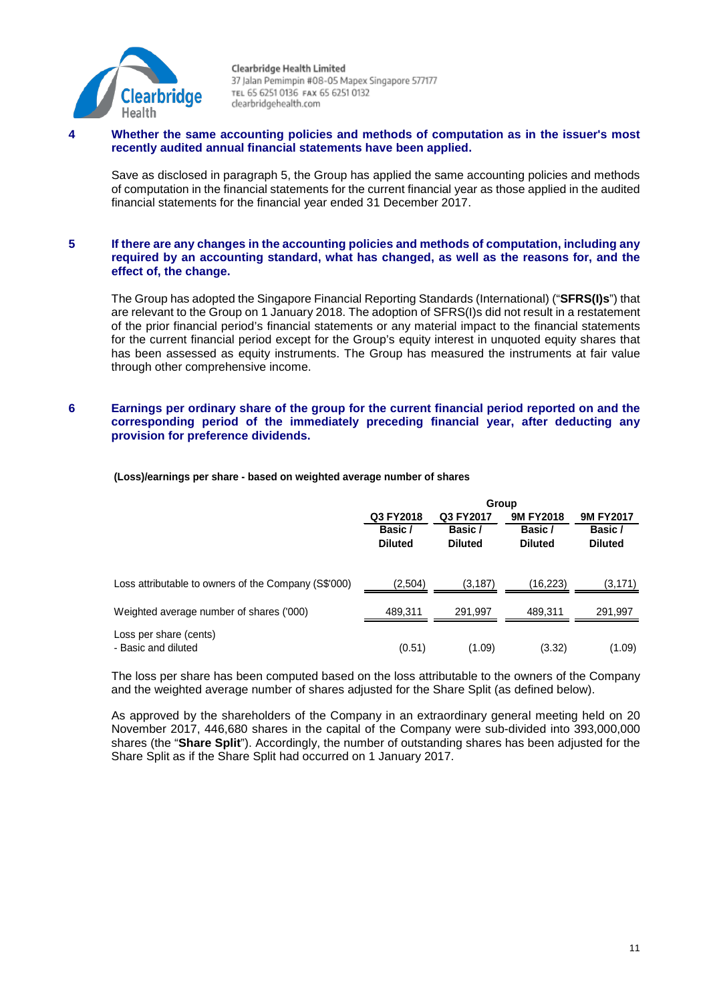

#### **4 Whether the same accounting policies and methods of computation as in the issuer's most recently audited annual financial statements have been applied.**

Save as disclosed in paragraph 5, the Group has applied the same accounting policies and methods of computation in the financial statements for the current financial year as those applied in the audited financial statements for the financial year ended 31 December 2017.

#### **5 If there are any changes in the accounting policies and methods of computation, including any required by an accounting standard, what has changed, as well as the reasons for, and the effect of, the change.**

The Group has adopted the Singapore Financial Reporting Standards (International) ("**SFRS(I)s**") that are relevant to the Group on 1 January 2018. The adoption of SFRS(I)s did not result in a restatement of the prior financial period's financial statements or any material impact to the financial statements for the current financial period except for the Group's equity interest in unquoted equity shares that has been assessed as equity instruments. The Group has measured the instruments at fair value through other comprehensive income.

#### **6 Earnings per ordinary share of the group for the current financial period reported on and the corresponding period of the immediately preceding financial year, after deducting any provision for preference dividends.**

#### **(Loss)/earnings per share - based on weighted average number of shares**

|                                                      | Group          |                |                  |                  |  |
|------------------------------------------------------|----------------|----------------|------------------|------------------|--|
|                                                      | Q3 FY2018      | Q3 FY2017      | <b>9M FY2018</b> | <b>9M FY2017</b> |  |
|                                                      | Basic /        | Basic /        | Basic /          | Basic/           |  |
|                                                      | <b>Diluted</b> | <b>Diluted</b> | <b>Diluted</b>   | <b>Diluted</b>   |  |
| Loss attributable to owners of the Company (S\$'000) | (2.504)        | (3, 187)       | (16,223)         | (3, 171)         |  |
| Weighted average number of shares ('000)             | 489,311        | 291,997        | 489.311          | 291,997          |  |
| Loss per share (cents)<br>- Basic and diluted        | (0.51)         | (1.09)         | (3.32)           | (1.09)           |  |

The loss per share has been computed based on the loss attributable to the owners of the Company and the weighted average number of shares adjusted for the Share Split (as defined below).

As approved by the shareholders of the Company in an extraordinary general meeting held on 20 November 2017, 446,680 shares in the capital of the Company were sub-divided into 393,000,000 shares (the "**Share Split**"). Accordingly, the number of outstanding shares has been adjusted for the Share Split as if the Share Split had occurred on 1 January 2017.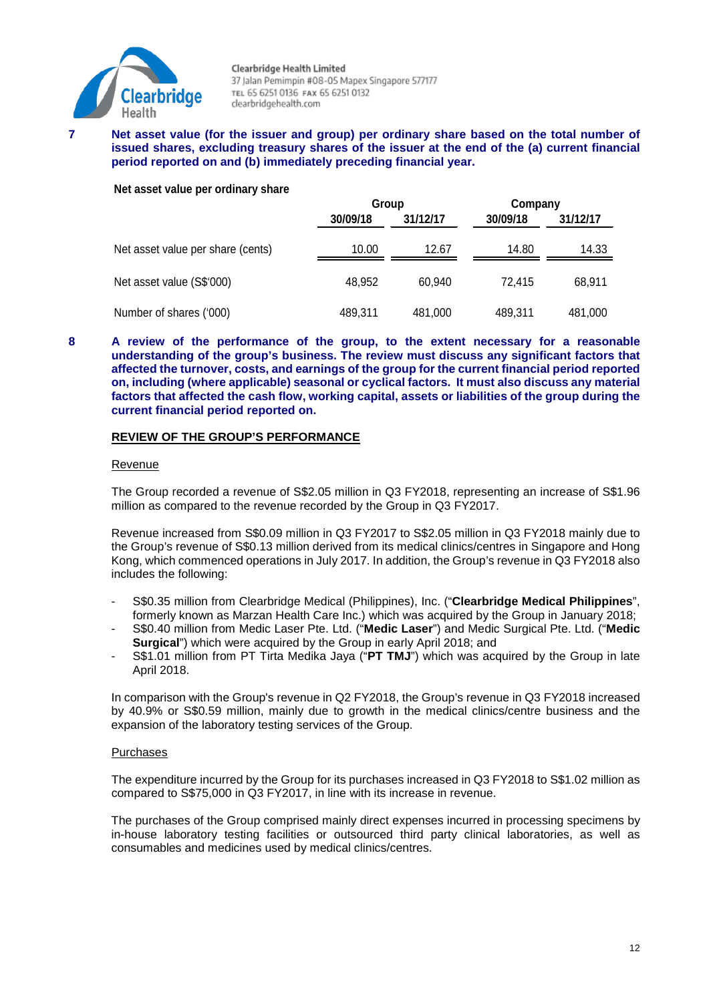

#### **7 Net asset value (for the issuer and group) per ordinary share based on the total number of issued shares, excluding treasury shares of the issuer at the end of the (a) current financial period reported on and (b) immediately preceding financial year.**

#### **Net asset value per ordinary share**

|                                   |          | Group    |          | Company  |  |
|-----------------------------------|----------|----------|----------|----------|--|
|                                   | 30/09/18 | 31/12/17 | 30/09/18 | 31/12/17 |  |
| Net asset value per share (cents) | 10.00    | 12.67    | 14.80    | 14.33    |  |
| Net asset value (S\$'000)         | 48,952   | 60.940   | 72.415   | 68.911   |  |
| Number of shares ('000)           | 489,311  | 481,000  | 489,311  | 481,000  |  |

**8 A review of the performance of the group, to the extent necessary for a reasonable understanding of the group's business. The review must discuss any significant factors that affected the turnover, costs, and earnings of the group for the current financial period reported on, including (where applicable) seasonal or cyclical factors. It must also discuss any material factors that affected the cash flow, working capital, assets or liabilities of the group during the current financial period reported on.**

#### **REVIEW OF THE GROUP'S PERFORMANCE**

#### Revenue

The Group recorded a revenue of S\$2.05 million in Q3 FY2018, representing an increase of S\$1.96 million as compared to the revenue recorded by the Group in Q3 FY2017.

Revenue increased from S\$0.09 million in Q3 FY2017 to S\$2.05 million in Q3 FY2018 mainly due to the Group's revenue of S\$0.13 million derived from its medical clinics/centres in Singapore and Hong Kong, which commenced operations in July 2017. In addition, the Group's revenue in Q3 FY2018 also includes the following:

- S\$0.35 million from Clearbridge Medical (Philippines), Inc. ("**Clearbridge Medical Philippines**", formerly known as Marzan Health Care Inc.) which was acquired by the Group in January 2018;
- S\$0.40 million from Medic Laser Pte. Ltd. ("**Medic Laser**") and Medic Surgical Pte. Ltd. ("**Medic Surgical**") which were acquired by the Group in early April 2018; and
- S\$1.01 million from PT Tirta Medika Jaya ("PT TMJ") which was acquired by the Group in late April 2018.

In comparison with the Group's revenue in Q2 FY2018, the Group's revenue in Q3 FY2018 increased by 40.9% or S\$0.59 million, mainly due to growth in the medical clinics/centre business and the expansion of the laboratory testing services of the Group.

#### Purchases

The expenditure incurred by the Group for its purchases increased in Q3 FY2018 to S\$1.02 million as compared to S\$75,000 in Q3 FY2017, in line with its increase in revenue.

The purchases of the Group comprised mainly direct expenses incurred in processing specimens by in-house laboratory testing facilities or outsourced third party clinical laboratories, as well as consumables and medicines used by medical clinics/centres.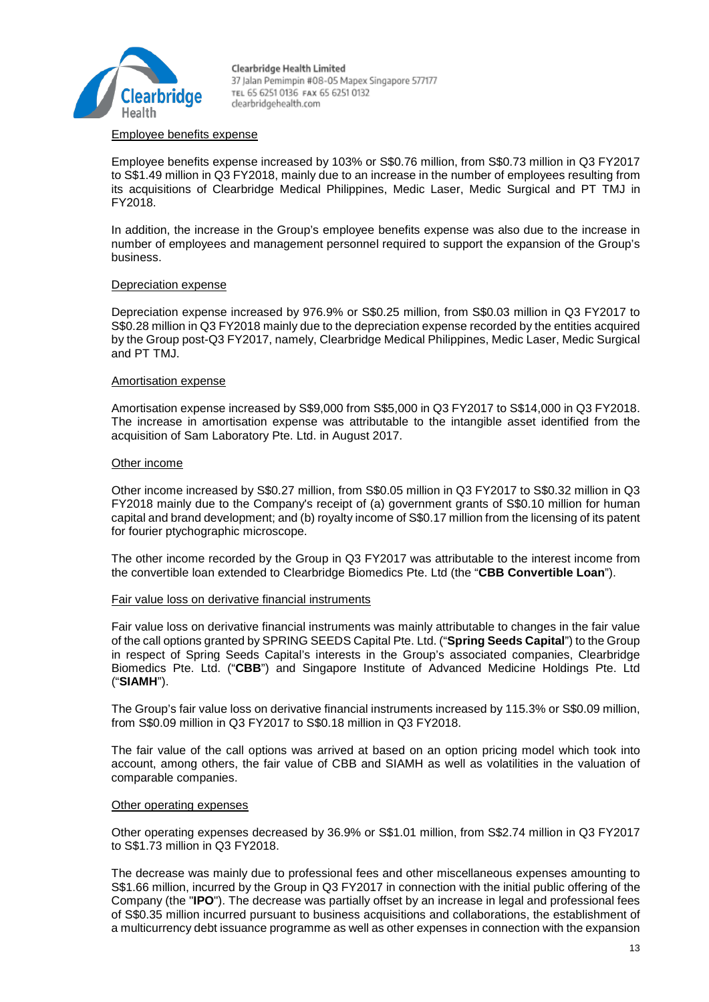

#### Employee benefits expense

Employee benefits expense increased by 103% or S\$0.76 million, from S\$0.73 million in Q3 FY2017 to S\$1.49 million in Q3 FY2018, mainly due to an increase in the number of employees resulting from its acquisitions of Clearbridge Medical Philippines, Medic Laser, Medic Surgical and PT TMJ in FY2018.

In addition, the increase in the Group's employee benefits expense was also due to the increase in number of employees and management personnel required to support the expansion of the Group's **busingss** 

#### Depreciation expense

Depreciation expense increased by 976.9% or S\$0.25 million, from S\$0.03 million in Q3 FY2017 to S\$0.28 million in Q3 FY2018 mainly due to the depreciation expense recorded by the entities acquired by the Group post-Q3 FY2017, namely, Clearbridge Medical Philippines, Medic Laser, Medic Surgical and PT TMJ.

#### Amortisation expense

Amortisation expense increased by S\$9,000 from S\$5,000 in Q3 FY2017 to S\$14,000 in Q3 FY2018. The increase in amortisation expense was attributable to the intangible asset identified from the acquisition of Sam Laboratory Pte. Ltd. in August 2017.

#### Other income

Other income increased by S\$0.27 million, from S\$0.05 million in Q3 FY2017 to S\$0.32 million in Q3 FY2018 mainly due to the Company's receipt of (a) government grants of S\$0.10 million for human capital and brand development; and (b) royalty income of S\$0.17 million from the licensing of its patent for fourier ptychographic microscope.

The other income recorded by the Group in Q3 FY2017 was attributable to the interest income from the convertible loan extended to Clearbridge Biomedics Pte. Ltd (the "**CBB Convertible Loan**").

#### Fair value loss on derivative financial instruments

Fair value loss on derivative financial instruments was mainly attributable to changes in the fair value of the call options granted by SPRING SEEDS Capital Pte. Ltd. ("**Spring Seeds Capital**") to the Group in respect of Spring Seeds Capital's interests in the Group's associated companies, Clearbridge Biomedics Pte. Ltd. ("**CBB**") and Singapore Institute of Advanced Medicine Holdings Pte. Ltd ("**SIAMH**").

The Group's fair value loss on derivative financial instruments increased by 115.3% or S\$0.09 million, from S\$0.09 million in Q3 FY2017 to S\$0.18 million in Q3 FY2018.

The fair value of the call options was arrived at based on an option pricing model which took into account, among others, the fair value of CBB and SIAMH as well as volatilities in the valuation of comparable companies.

#### Other operating expenses

Other operating expenses decreased by 36.9% or S\$1.01 million, from S\$2.74 million in Q3 FY2017 to S\$1.73 million in Q3 FY2018.

The decrease was mainly due to professional fees and other miscellaneous expenses amounting to S\$1.66 million, incurred by the Group in Q3 FY2017 in connection with the initial public offering of the Company (the "**IPO**"). The decrease was partially offset by an increase in legal and professional fees of S\$0.35 million incurred pursuant to business acquisitions and collaborations, the establishment of a multicurrency debt issuance programme as well as other expenses in connection with the expansion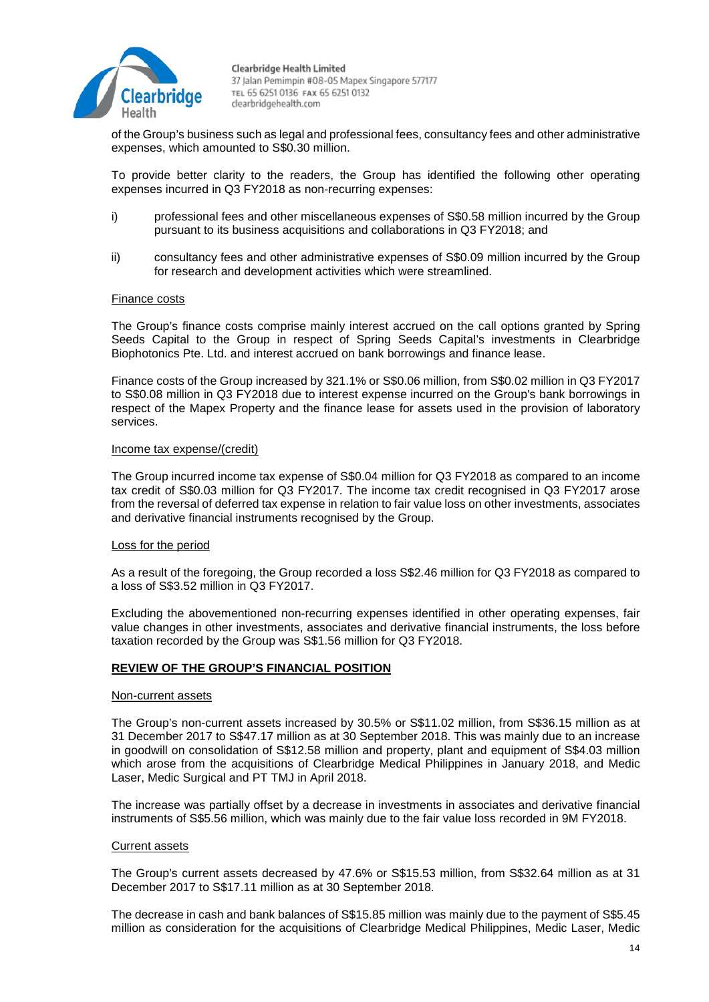

of the Group's business such as legal and professional fees, consultancy fees and other administrative expenses, which amounted to S\$0.30 million.

To provide better clarity to the readers, the Group has identified the following other operating expenses incurred in Q3 FY2018 as non-recurring expenses:

- i) professional fees and other miscellaneous expenses of S\$0.58 million incurred by the Group pursuant to its business acquisitions and collaborations in Q3 FY2018; and
- ii) consultancy fees and other administrative expenses of S\$0.09 million incurred by the Group for research and development activities which were streamlined.

#### Finance costs

The Group's finance costs comprise mainly interest accrued on the call options granted by Spring Seeds Capital to the Group in respect of Spring Seeds Capital's investments in Clearbridge Biophotonics Pte. Ltd. and interest accrued on bank borrowings and finance lease.

Finance costs of the Group increased by 321.1% or S\$0.06 million, from S\$0.02 million in Q3 FY2017 to S\$0.08 million in Q3 FY2018 due to interest expense incurred on the Group's bank borrowings in respect of the Mapex Property and the finance lease for assets used in the provision of laboratory services.

#### Income tax expense/(credit)

The Group incurred income tax expense of S\$0.04 million for Q3 FY2018 as compared to an income tax credit of S\$0.03 million for Q3 FY2017. The income tax credit recognised in Q3 FY2017 arose from the reversal of deferred tax expense in relation to fair value loss on other investments, associates and derivative financial instruments recognised by the Group.

#### Loss for the period

As a result of the foregoing, the Group recorded a loss S\$2.46 million for Q3 FY2018 as compared to a loss of S\$3.52 million in Q3 FY2017.

Excluding the abovementioned non-recurring expenses identified in other operating expenses, fair value changes in other investments, associates and derivative financial instruments, the loss before taxation recorded by the Group was S\$1.56 million for Q3 FY2018.

#### **REVIEW OF THE GROUP'S FINANCIAL POSITION**

#### Non-current assets

The Group's non-current assets increased by 30.5% or S\$11.02 million, from S\$36.15 million as at 31 December 2017 to S\$47.17 million as at 30 September 2018. This was mainly due to an increase in goodwill on consolidation of S\$12.58 million and property, plant and equipment of S\$4.03 million which arose from the acquisitions of Clearbridge Medical Philippines in January 2018, and Medic Laser, Medic Surgical and PT TMJ in April 2018.

The increase was partially offset by a decrease in investments in associates and derivative financial instruments of S\$5.56 million, which was mainly due to the fair value loss recorded in 9M FY2018.

#### Current assets

The Group's current assets decreased by 47.6% or S\$15.53 million, from S\$32.64 million as at 31 December 2017 to S\$17.11 million as at 30 September 2018.

The decrease in cash and bank balances of S\$15.85 million was mainly due to the payment of S\$5.45 million as consideration for the acquisitions of Clearbridge Medical Philippines, Medic Laser, Medic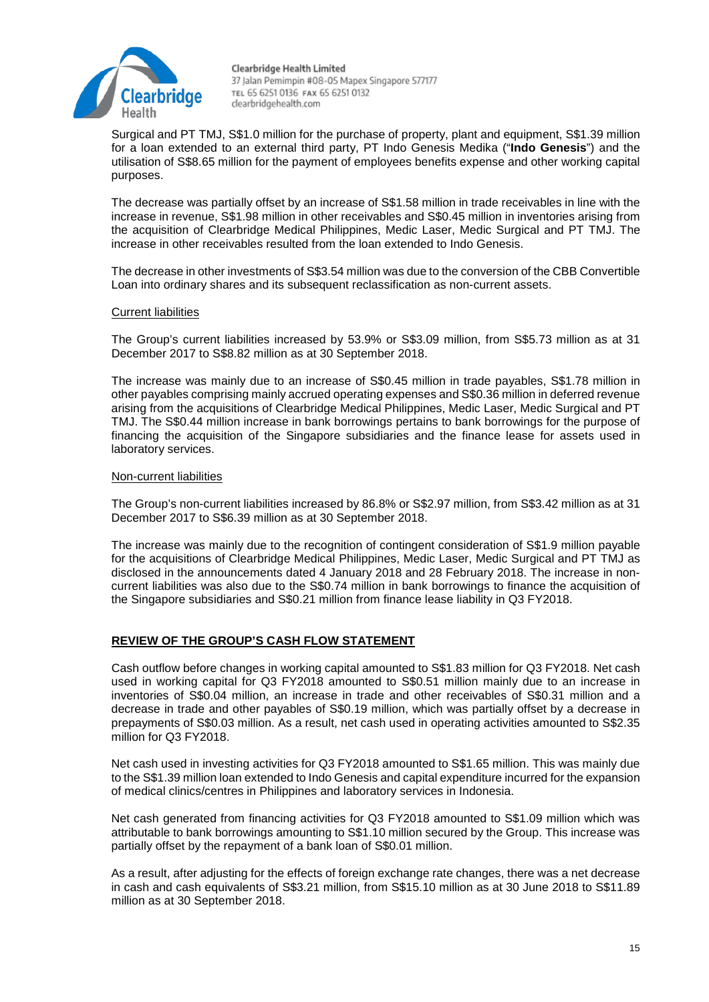

Surgical and PT TMJ, S\$1.0 million for the purchase of property, plant and equipment, S\$1.39 million for a loan extended to an external third party, PT Indo Genesis Medika ("**Indo Genesis**") and the utilisation of S\$8.65 million for the payment of employees benefits expense and other working capital purposes.

The decrease was partially offset by an increase of S\$1.58 million in trade receivables in line with the increase in revenue, S\$1.98 million in other receivables and S\$0.45 million in inventories arising from the acquisition of Clearbridge Medical Philippines, Medic Laser, Medic Surgical and PT TMJ. The increase in other receivables resulted from the loan extended to Indo Genesis.

The decrease in other investments of S\$3.54 million was due to the conversion of the CBB Convertible Loan into ordinary shares and its subsequent reclassification as non-current assets.

#### Current liabilities

The Group's current liabilities increased by 53.9% or S\$3.09 million, from S\$5.73 million as at 31 December 2017 to S\$8.82 million as at 30 September 2018.

The increase was mainly due to an increase of S\$0.45 million in trade payables, S\$1.78 million in other payables comprising mainly accrued operating expenses and S\$0.36 million in deferred revenue arising from the acquisitions of Clearbridge Medical Philippines, Medic Laser, Medic Surgical and PT TMJ. The S\$0.44 million increase in bank borrowings pertains to bank borrowings for the purpose of financing the acquisition of the Singapore subsidiaries and the finance lease for assets used in laboratory services.

#### Non-current liabilities

The Group's non-current liabilities increased by 86.8% or S\$2.97 million, from S\$3.42 million as at 31 December 2017 to S\$6.39 million as at 30 September 2018.

The increase was mainly due to the recognition of contingent consideration of S\$1.9 million payable for the acquisitions of Clearbridge Medical Philippines, Medic Laser, Medic Surgical and PT TMJ as disclosed in the announcements dated 4 January 2018 and 28 February 2018. The increase in noncurrent liabilities was also due to the S\$0.74 million in bank borrowings to finance the acquisition of the Singapore subsidiaries and S\$0.21 million from finance lease liability in Q3 FY2018.

## **REVIEW OF THE GROUP'S CASH FLOW STATEMENT**

Cash outflow before changes in working capital amounted to S\$1.83 million for Q3 FY2018. Net cash used in working capital for Q3 FY2018 amounted to S\$0.51 million mainly due to an increase in inventories of S\$0.04 million, an increase in trade and other receivables of S\$0.31 million and a decrease in trade and other payables of S\$0.19 million, which was partially offset by a decrease in prepayments of S\$0.03 million. As a result, net cash used in operating activities amounted to S\$2.35 million for Q3 FY2018.

Net cash used in investing activities for Q3 FY2018 amounted to S\$1.65 million. This was mainly due to the S\$1.39 million loan extended to Indo Genesis and capital expenditure incurred for the expansion of medical clinics/centres in Philippines and laboratory services in Indonesia.

Net cash generated from financing activities for Q3 FY2018 amounted to S\$1.09 million which was attributable to bank borrowings amounting to S\$1.10 million secured by the Group. This increase was partially offset by the repayment of a bank loan of S\$0.01 million.

As a result, after adjusting for the effects of foreign exchange rate changes, there was a net decrease in cash and cash equivalents of S\$3.21 million, from S\$15.10 million as at 30 June 2018 to S\$11.89 million as at 30 September 2018.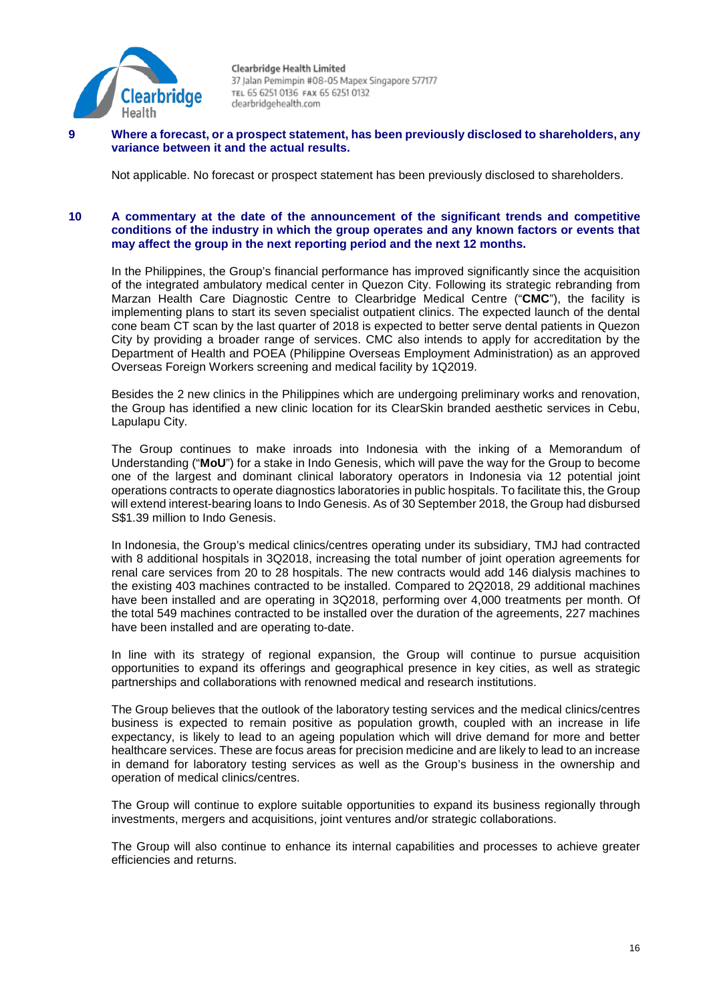

#### **9 Where a forecast, or a prospect statement, has been previously disclosed to shareholders, any variance between it and the actual results.**

Not applicable. No forecast or prospect statement has been previously disclosed to shareholders.

#### **10 A commentary at the date of the announcement of the significant trends and competitive conditions of the industry in which the group operates and any known factors or events that may affect the group in the next reporting period and the next 12 months.**

In the Philippines, the Group's financial performance has improved significantly since the acquisition of the integrated ambulatory medical center in Quezon City. Following its strategic rebranding from Marzan Health Care Diagnostic Centre to Clearbridge Medical Centre ("**CMC**"), the facility is implementing plans to start its seven specialist outpatient clinics. The expected launch of the dental cone beam CT scan by the last quarter of 2018 is expected to better serve dental patients in Quezon City by providing a broader range of services. CMC also intends to apply for accreditation by the Department of Health and POEA (Philippine Overseas Employment Administration) as an approved Overseas Foreign Workers screening and medical facility by 1Q2019.

Besides the 2 new clinics in the Philippines which are undergoing preliminary works and renovation, the Group has identified a new clinic location for its ClearSkin branded aesthetic services in Cebu, Lapulapu City.

The Group continues to make inroads into Indonesia with the inking of a Memorandum of Understanding ("**MoU**") for a stake in Indo Genesis, which will pave the way for the Group to become one of the largest and dominant clinical laboratory operators in Indonesia via 12 potential joint operations contracts to operate diagnostics laboratories in public hospitals. To facilitate this, the Group will extend interest-bearing loans to Indo Genesis. As of 30 September 2018, the Group had disbursed S\$1.39 million to Indo Genesis.

In Indonesia, the Group's medical clinics/centres operating under its subsidiary, TMJ had contracted with 8 additional hospitals in 3Q2018, increasing the total number of joint operation agreements for renal care services from 20 to 28 hospitals. The new contracts would add 146 dialysis machines to the existing 403 machines contracted to be installed. Compared to 2Q2018, 29 additional machines have been installed and are operating in 3Q2018, performing over 4,000 treatments per month. Of the total 549 machines contracted to be installed over the duration of the agreements, 227 machines have been installed and are operating to-date.

In line with its strategy of regional expansion, the Group will continue to pursue acquisition opportunities to expand its offerings and geographical presence in key cities, as well as strategic partnerships and collaborations with renowned medical and research institutions.

The Group believes that the outlook of the laboratory testing services and the medical clinics/centres business is expected to remain positive as population growth, coupled with an increase in life expectancy, is likely to lead to an ageing population which will drive demand for more and better healthcare services. These are focus areas for precision medicine and are likely to lead to an increase in demand for laboratory testing services as well as the Group's business in the ownership and operation of medical clinics/centres.

The Group will continue to explore suitable opportunities to expand its business regionally through investments, mergers and acquisitions, joint ventures and/or strategic collaborations.

The Group will also continue to enhance its internal capabilities and processes to achieve greater efficiencies and returns.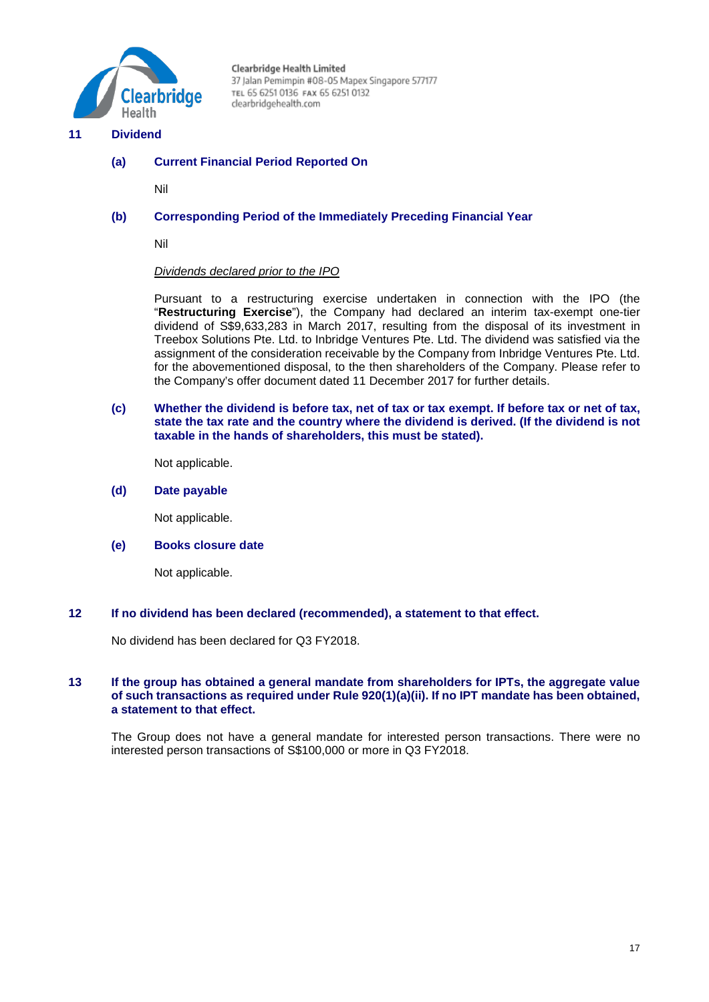

#### **11 Dividend**

**(a) Current Financial Period Reported On**

Nil

#### **(b) Corresponding Period of the Immediately Preceding Financial Year**

Nil

#### *Dividends declared prior to the IPO*

Pursuant to a restructuring exercise undertaken in connection with the IPO (the "**Restructuring Exercise**"), the Company had declared an interim tax-exempt one-tier dividend of S\$9,633,283 in March 2017, resulting from the disposal of its investment in Treebox Solutions Pte. Ltd. to Inbridge Ventures Pte. Ltd. The dividend was satisfied via the assignment of the consideration receivable by the Company from Inbridge Ventures Pte. Ltd. for the abovementioned disposal, to the then shareholders of the Company. Please refer to the Company's offer document dated 11 December 2017 for further details.

#### **(c) Whether the dividend is before tax, net of tax or tax exempt. If before tax or net of tax, state the tax rate and the country where the dividend is derived. (If the dividend is not taxable in the hands of shareholders, this must be stated).**

Not applicable.

#### **(d) Date payable**

Not applicable.

#### **(e) Books closure date**

Not applicable.

#### **12 If no dividend has been declared (recommended), a statement to that effect.**

No dividend has been declared for Q3 FY2018.

#### **13 If the group has obtained a general mandate from shareholders for IPTs, the aggregate value of such transactions as required under Rule 920(1)(a)(ii). If no IPT mandate has been obtained, a statement to that effect.**

The Group does not have a general mandate for interested person transactions. There were no interested person transactions of S\$100,000 or more in Q3 FY2018.